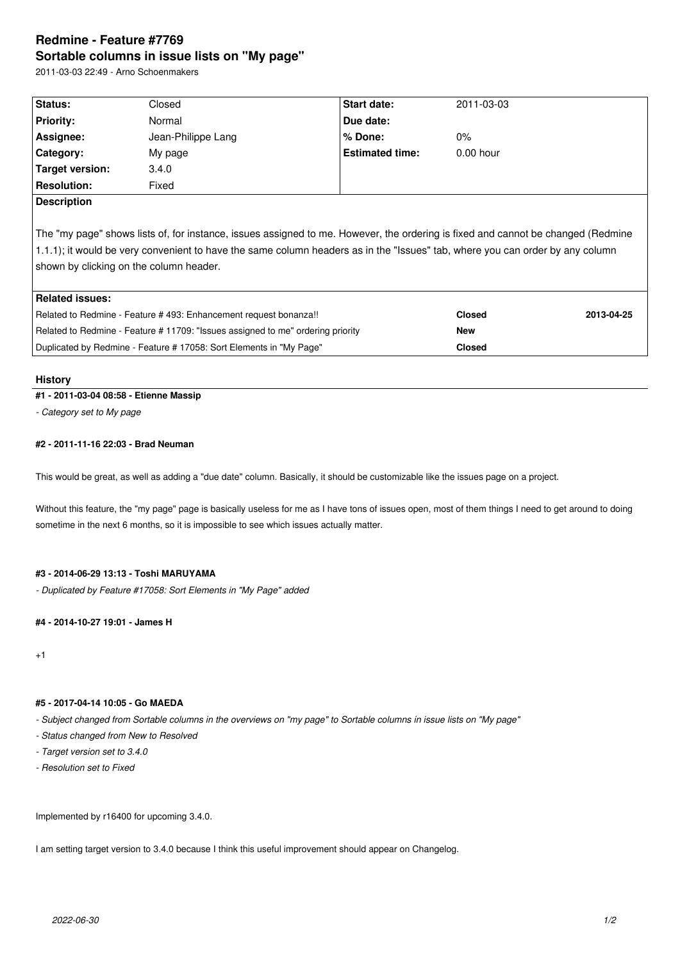# **Redmine - Feature #7769 Sortable columns in issue lists on "My page"**

2011-03-03 22:49 - Arno Schoenmakers

| Status:                                                                                                                          |                    | Start date:            |               |            |
|----------------------------------------------------------------------------------------------------------------------------------|--------------------|------------------------|---------------|------------|
|                                                                                                                                  | Closed             |                        | 2011-03-03    |            |
| <b>Priority:</b>                                                                                                                 | Normal             | Due date:              |               |            |
| Assignee:                                                                                                                        | Jean-Philippe Lang | $%$ Done:              | $0\%$         |            |
| Category:                                                                                                                        | My page            | <b>Estimated time:</b> | $0.00$ hour   |            |
| Target version:                                                                                                                  | 3.4.0              |                        |               |            |
| <b>Resolution:</b>                                                                                                               | Fixed              |                        |               |            |
| <b>Description</b>                                                                                                               |                    |                        |               |            |
|                                                                                                                                  |                    |                        |               |            |
| The "my page" shows lists of, for instance, issues assigned to me. However, the ordering is fixed and cannot be changed (Redmine |                    |                        |               |            |
| 1.1.1); it would be very convenient to have the same column headers as in the "Issues" tab, where you can order by any column    |                    |                        |               |            |
| shown by clicking on the column header.                                                                                          |                    |                        |               |            |
|                                                                                                                                  |                    |                        |               |            |
| <b>Related issues:</b>                                                                                                           |                    |                        |               |            |
| Related to Redmine - Feature #493: Enhancement request bonanza!!                                                                 |                    |                        | <b>Closed</b> | 2013-04-25 |
| Related to Redmine - Feature #11709: "Issues assigned to me" ordering priority                                                   |                    |                        | New           |            |
| Duplicated by Redmine - Feature # 17058: Sort Elements in "My Page"                                                              |                    |                        | <b>Closed</b> |            |
|                                                                                                                                  |                    |                        |               |            |

#### **History**

# **#1 - 2011-03-04 08:58 - Etienne Massip**

*- Category set to My page*

### **#2 - 2011-11-16 22:03 - Brad Neuman**

This would be great, as well as adding a "due date" column. Basically, it should be customizable like the issues page on a project.

Without this feature, the "my page" page is basically useless for me as I have tons of issues open, most of them things I need to get around to doing sometime in the next 6 months, so it is impossible to see which issues actually matter.

#### **#3 - 2014-06-29 13:13 - Toshi MARUYAMA**

*- Duplicated by Feature #17058: Sort Elements in "My Page" added*

#### **#4 - 2014-10-27 19:01 - James H**

 $+1$ 

# **#5 - 2017-04-14 10:05 - Go MAEDA**

*- Subject changed from Sortable columns in the overviews on "my page" to Sortable columns in issue lists on "My page"*

- *Status changed from New to Resolved*
- *Target version set to 3.4.0*
- *Resolution set to Fixed*

Implemented by r16400 for upcoming 3.4.0.

I am setting target version to 3.4.0 because I think this useful improvement should appear on Changelog.